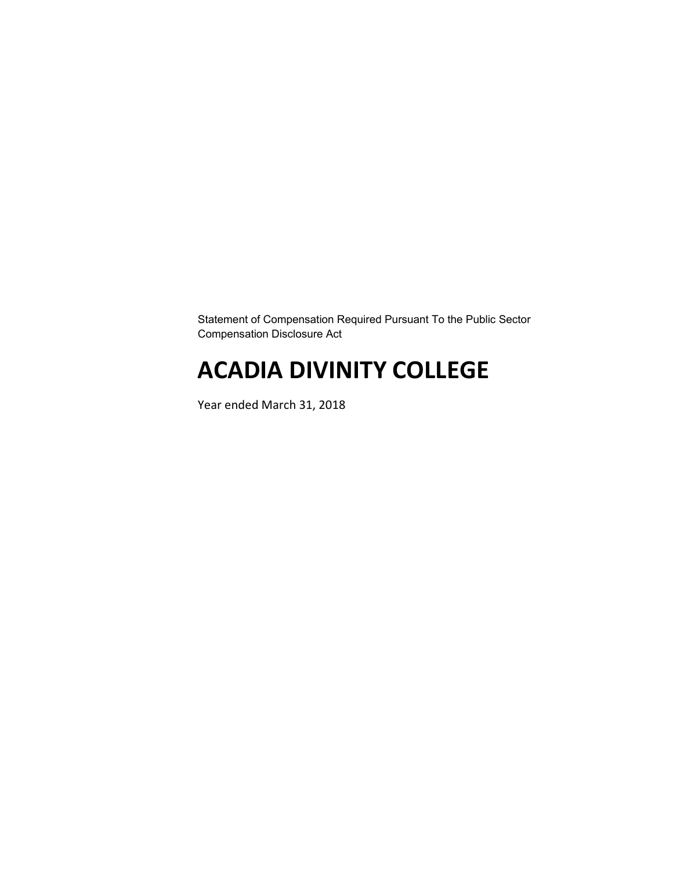Statement of Compensation Required Pursuant To the Public Sector Compensation Disclosure Act

# **ACADIA DIVINITY COLLEGE**

Year ended March 31, 2018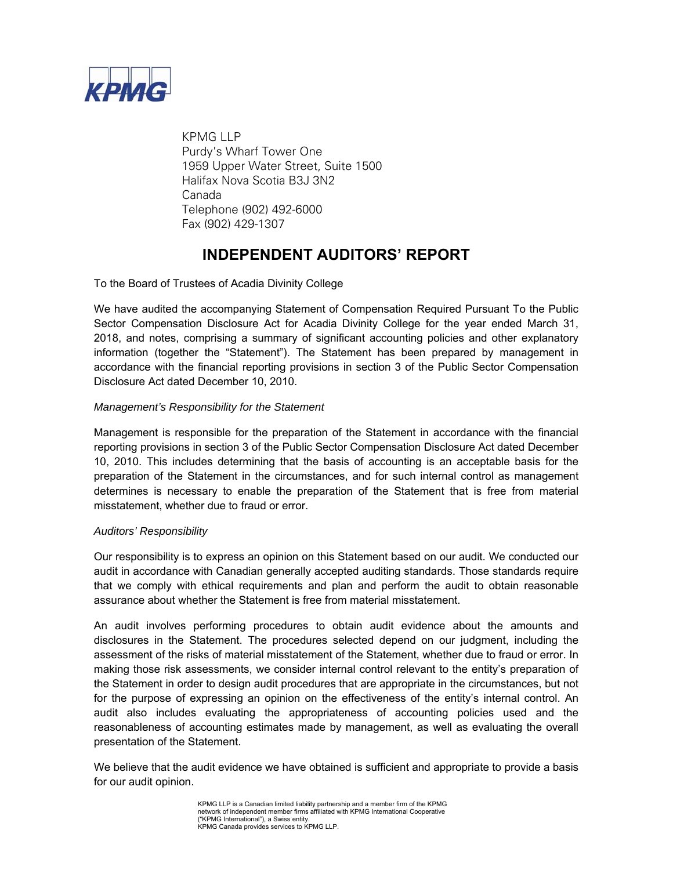

 KPMG LLP Purdy's Wharf Tower One 1959 Upper Water Street, Suite 1500 Halifax Nova Scotia B3J 3N2 Canada Telephone (902) 492-6000 Fax (902) 429-1307

## **INDEPENDENT AUDITORS' REPORT**

To the Board of Trustees of Acadia Divinity College

We have audited the accompanying Statement of Compensation Required Pursuant To the Public Sector Compensation Disclosure Act for Acadia Divinity College for the year ended March 31, 2018, and notes, comprising a summary of significant accounting policies and other explanatory information (together the "Statement"). The Statement has been prepared by management in accordance with the financial reporting provisions in section 3 of the Public Sector Compensation Disclosure Act dated December 10, 2010.

### *Management's Responsibility for the Statement*

Management is responsible for the preparation of the Statement in accordance with the financial reporting provisions in section 3 of the Public Sector Compensation Disclosure Act dated December 10, 2010. This includes determining that the basis of accounting is an acceptable basis for the preparation of the Statement in the circumstances, and for such internal control as management determines is necessary to enable the preparation of the Statement that is free from material misstatement, whether due to fraud or error.

### *Auditors' Responsibility*

Our responsibility is to express an opinion on this Statement based on our audit. We conducted our audit in accordance with Canadian generally accepted auditing standards. Those standards require that we comply with ethical requirements and plan and perform the audit to obtain reasonable assurance about whether the Statement is free from material misstatement.

An audit involves performing procedures to obtain audit evidence about the amounts and disclosures in the Statement. The procedures selected depend on our judgment, including the assessment of the risks of material misstatement of the Statement, whether due to fraud or error. In making those risk assessments, we consider internal control relevant to the entity's preparation of the Statement in order to design audit procedures that are appropriate in the circumstances, but not for the purpose of expressing an opinion on the effectiveness of the entity's internal control. An audit also includes evaluating the appropriateness of accounting policies used and the reasonableness of accounting estimates made by management, as well as evaluating the overall presentation of the Statement.

We believe that the audit evidence we have obtained is sufficient and appropriate to provide a basis for our audit opinion.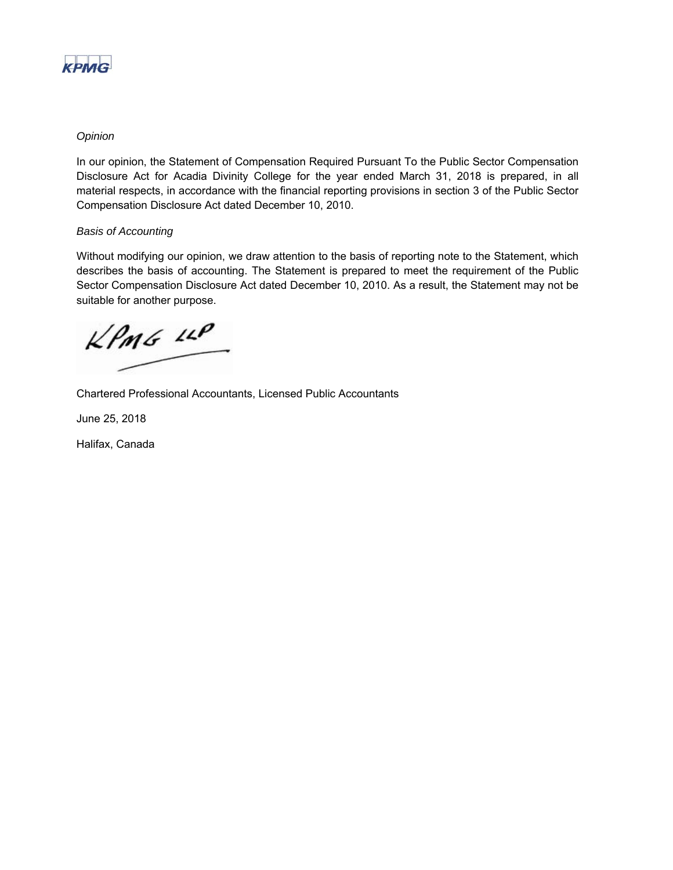

### *Opinion*

In our opinion, the Statement of Compensation Required Pursuant To the Public Sector Compensation Disclosure Act for Acadia Divinity College for the year ended March 31, 2018 is prepared, in all material respects, in accordance with the financial reporting provisions in section 3 of the Public Sector Compensation Disclosure Act dated December 10, 2010.

### *Basis of Accounting*

Without modifying our opinion, we draw attention to the basis of reporting note to the Statement, which describes the basis of accounting. The Statement is prepared to meet the requirement of the Public Sector Compensation Disclosure Act dated December 10, 2010. As a result, the Statement may not be suitable for another purpose.

 $KPMG$  11P

Chartered Professional Accountants, Licensed Public Accountants

June 25, 2018

Halifax, Canada